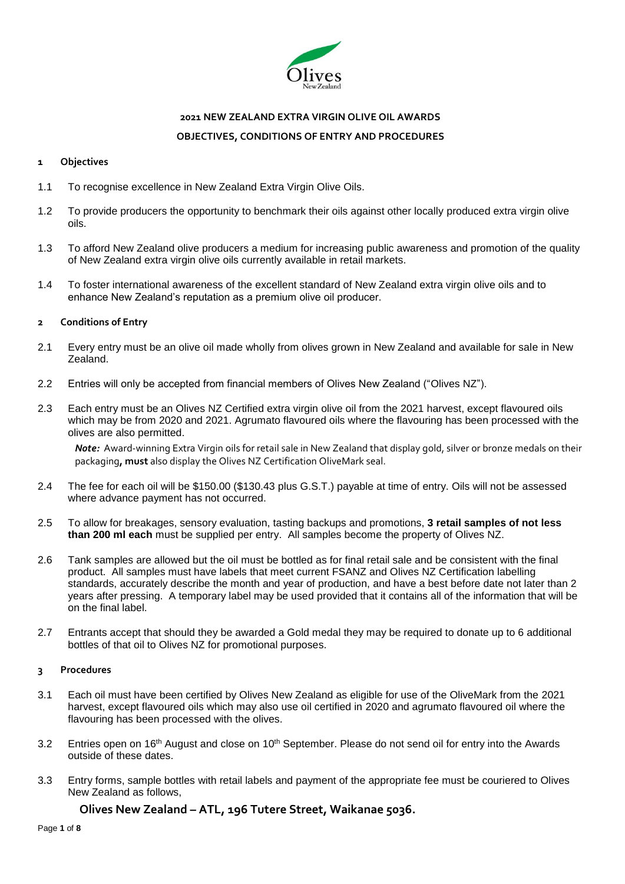

# **2021 NEW ZEALAND EXTRA VIRGIN OLIVE OIL AWARDS OBJECTIVES, CONDITIONS OF ENTRY AND PROCEDURES**

### **1 Objectives**

- 1.1 To recognise excellence in New Zealand Extra Virgin Olive Oils.
- 1.2 To provide producers the opportunity to benchmark their oils against other locally produced extra virgin olive oils.
- 1.3 To afford New Zealand olive producers a medium for increasing public awareness and promotion of the quality of New Zealand extra virgin olive oils currently available in retail markets.
- 1.4 To foster international awareness of the excellent standard of New Zealand extra virgin olive oils and to enhance New Zealand's reputation as a premium olive oil producer.

### **2 Conditions of Entry**

- 2.1 Every entry must be an olive oil made wholly from olives grown in New Zealand and available for sale in New Zealand.
- 2.2 Entries will only be accepted from financial members of Olives New Zealand ("Olives NZ").
- 2.3 Each entry must be an Olives NZ Certified extra virgin olive oil from the 2021 harvest, except flavoured oils which may be from 2020 and 2021. Agrumato flavoured oils where the flavouring has been processed with the olives are also permitted.

*Note:* Award-winning Extra Virgin oils for retail sale in New Zealand that display gold, silver or bronze medals on their packaging**, must** also display the Olives NZ Certification OliveMark seal.

- 2.4 The fee for each oil will be \$150.00 (\$130.43 plus G.S.T.) payable at time of entry. Oils will not be assessed where advance payment has not occurred.
- 2.5 To allow for breakages, sensory evaluation, tasting backups and promotions, **3 retail samples of not less than 200 ml each** must be supplied per entry. All samples become the property of Olives NZ.
- 2.6 Tank samples are allowed but the oil must be bottled as for final retail sale and be consistent with the final product. All samples must have labels that meet current FSANZ and Olives NZ Certification labelling standards, accurately describe the month and year of production, and have a best before date not later than 2 years after pressing. A temporary label may be used provided that it contains all of the information that will be on the final label.
- 2.7 Entrants accept that should they be awarded a Gold medal they may be required to donate up to 6 additional bottles of that oil to Olives NZ for promotional purposes.

### **3 Procedures**

- 3.1 Each oil must have been certified by Olives New Zealand as eligible for use of the OliveMark from the 2021 harvest, except flavoured oils which may also use oil certified in 2020 and agrumato flavoured oil where the flavouring has been processed with the olives.
- 3.2 Entries open on 16<sup>th</sup> August and close on 10<sup>th</sup> September. Please do not send oil for entry into the Awards outside of these dates.
- 3.3 Entry forms, sample bottles with retail labels and payment of the appropriate fee must be couriered to Olives New Zealand as follows,

### **Olives New Zealand – ATL, 196 Tutere Street, Waikanae 5036.**

Page **1** of **8**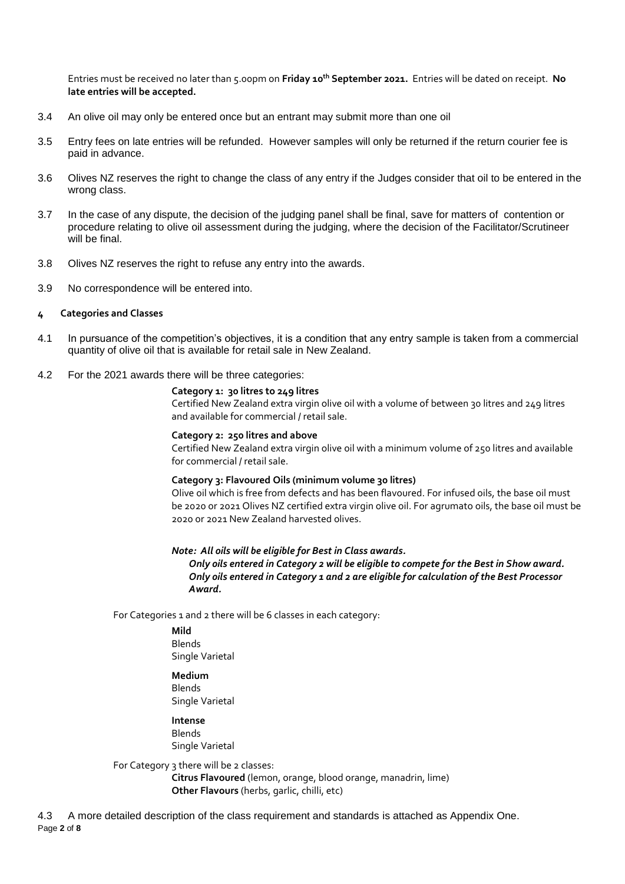Entries must be received no later than 5.00pm on **Friday 10 th September 2021.** Entries will be dated on receipt. **No late entries will be accepted.** 

- 3.4 An olive oil may only be entered once but an entrant may submit more than one oil
- 3.5 Entry fees on late entries will be refunded. However samples will only be returned if the return courier fee is paid in advance.
- 3.6 Olives NZ reserves the right to change the class of any entry if the Judges consider that oil to be entered in the wrong class.
- 3.7 In the case of any dispute, the decision of the judging panel shall be final, save for matters of contention or procedure relating to olive oil assessment during the judging, where the decision of the Facilitator/Scrutineer will be final.
- 3.8 Olives NZ reserves the right to refuse any entry into the awards.
- 3.9 No correspondence will be entered into.
- **4 Categories and Classes**
- 4.1 In pursuance of the competition's objectives, it is a condition that any entry sample is taken from a commercial quantity of olive oil that is available for retail sale in New Zealand.
- 4.2 For the 2021 awards there will be three categories:

#### **Category 1: 30 litres to 249 litres**

Certified New Zealand extra virgin olive oil with a volume of between 30 litres and 249 litres and available for commercial / retail sale.

#### **Category 2: 250 litres and above**

Certified New Zealand extra virgin olive oil with a minimum volume of 250 litres and available for commercial / retail sale.

#### **Category 3: Flavoured Oils (minimum volume 30 litres)**

Olive oil which is free from defects and has been flavoured. For infused oils, the base oil must be 2020 or 2021 Olives NZ certified extra virgin olive oil. For agrumato oils, the base oil must be 2020 or 2021 New Zealand harvested olives.

### *Note: All oils will be eligible for Best in Class awards.*

*Only oils entered in Category 2 will be eligible to compete for the Best in Show award. Only oils entered in Category 1 and 2 are eligible for calculation of the Best Processor Award.*

For Categories 1 and 2 there will be 6 classes in each category:

**Mild** Blends Single Varietal

### **Medium**

**Blands** Single Varietal

**Intense**

Blends Single Varietal

For Category 3 there will be 2 classes:

**Citrus Flavoured** (lemon, orange, blood orange, manadrin, lime) **Other Flavours** (herbs, garlic, chilli, etc)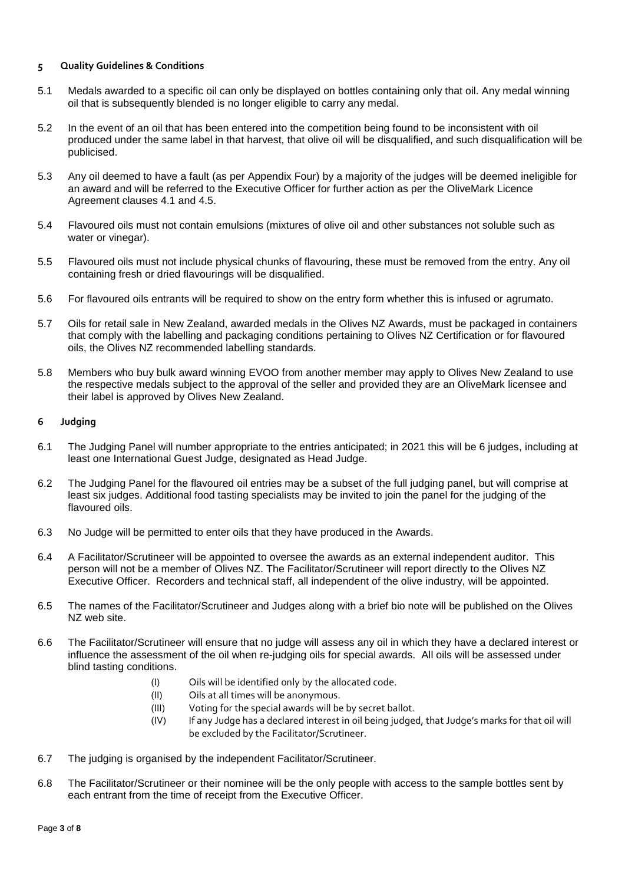### **5 Quality Guidelines & Conditions**

- 5.1 Medals awarded to a specific oil can only be displayed on bottles containing only that oil. Any medal winning oil that is subsequently blended is no longer eligible to carry any medal.
- 5.2 In the event of an oil that has been entered into the competition being found to be inconsistent with oil produced under the same label in that harvest, that olive oil will be disqualified, and such disqualification will be publicised.
- 5.3 Any oil deemed to have a fault (as per Appendix Four) by a majority of the judges will be deemed ineligible for an award and will be referred to the Executive Officer for further action as per the OliveMark Licence Agreement clauses 4.1 and 4.5.
- 5.4 Flavoured oils must not contain emulsions (mixtures of olive oil and other substances not soluble such as water or vinegar).
- 5.5 Flavoured oils must not include physical chunks of flavouring, these must be removed from the entry. Any oil containing fresh or dried flavourings will be disqualified.
- 5.6 For flavoured oils entrants will be required to show on the entry form whether this is infused or agrumato.
- 5.7 Oils for retail sale in New Zealand, awarded medals in the Olives NZ Awards, must be packaged in containers that comply with the labelling and packaging conditions pertaining to Olives NZ Certification or for flavoured oils, the Olives NZ recommended labelling standards.
- 5.8 Members who buy bulk award winning EVOO from another member may apply to Olives New Zealand to use the respective medals subject to the approval of the seller and provided they are an OliveMark licensee and their label is approved by Olives New Zealand.

### **6 Judging**

- 6.1 The Judging Panel will number appropriate to the entries anticipated; in 2021 this will be 6 judges, including at least one International Guest Judge, designated as Head Judge.
- 6.2 The Judging Panel for the flavoured oil entries may be a subset of the full judging panel, but will comprise at least six judges. Additional food tasting specialists may be invited to join the panel for the judging of the flavoured oils.
- 6.3 No Judge will be permitted to enter oils that they have produced in the Awards.
- 6.4 A Facilitator/Scrutineer will be appointed to oversee the awards as an external independent auditor. This person will not be a member of Olives NZ. The Facilitator/Scrutineer will report directly to the Olives NZ Executive Officer. Recorders and technical staff, all independent of the olive industry, will be appointed.
- 6.5 The names of the Facilitator/Scrutineer and Judges along with a brief bio note will be published on the Olives NZ web site.
- 6.6 The Facilitator/Scrutineer will ensure that no judge will assess any oil in which they have a declared interest or influence the assessment of the oil when re-judging oils for special awards. All oils will be assessed under blind tasting conditions.
	- (I) Oils will be identified only by the allocated code.
	- (II) Oils at all times will be anonymous.
	- (III) Voting for the special awards will be by secret ballot.
	- (IV) If any Judge has a declared interest in oil being judged, that Judge's marks for that oil will be excluded by the Facilitator/Scrutineer.
- 6.7 The judging is organised by the independent Facilitator/Scrutineer.
- 6.8 The Facilitator/Scrutineer or their nominee will be the only people with access to the sample bottles sent by each entrant from the time of receipt from the Executive Officer.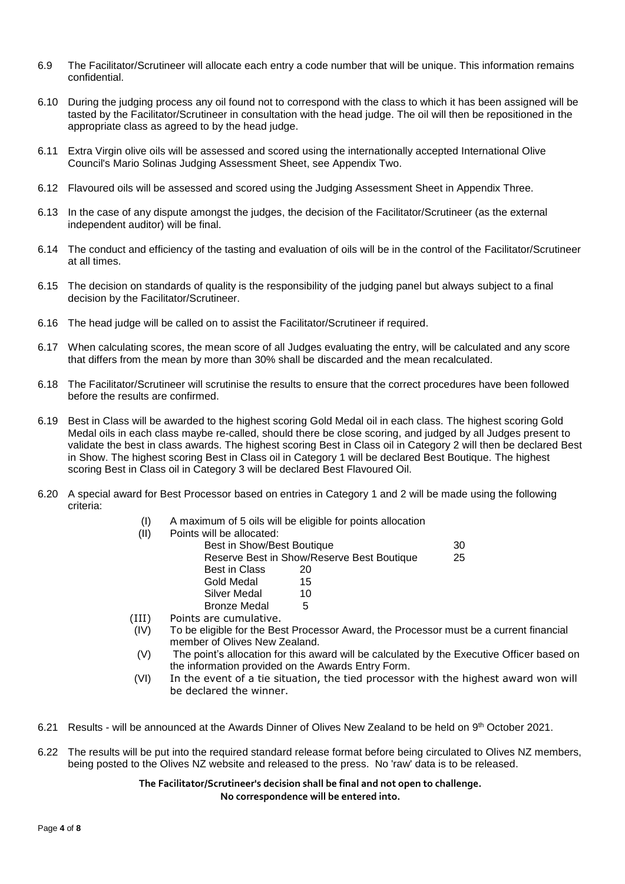- 6.9 The Facilitator/Scrutineer will allocate each entry a code number that will be unique. This information remains confidential.
- 6.10 During the judging process any oil found not to correspond with the class to which it has been assigned will be tasted by the Facilitator/Scrutineer in consultation with the head judge. The oil will then be repositioned in the appropriate class as agreed to by the head judge.
- 6.11 Extra Virgin olive oils will be assessed and scored using the internationally accepted International Olive Council's Mario Solinas Judging Assessment Sheet, see Appendix Two.
- 6.12 Flavoured oils will be assessed and scored using the Judging Assessment Sheet in Appendix Three.
- 6.13 In the case of any dispute amongst the judges, the decision of the Facilitator/Scrutineer (as the external independent auditor) will be final.
- 6.14 The conduct and efficiency of the tasting and evaluation of oils will be in the control of the Facilitator/Scrutineer at all times.
- 6.15 The decision on standards of quality is the responsibility of the judging panel but always subject to a final decision by the Facilitator/Scrutineer.
- 6.16 The head judge will be called on to assist the Facilitator/Scrutineer if required.
- 6.17 When calculating scores, the mean score of all Judges evaluating the entry, will be calculated and any score that differs from the mean by more than 30% shall be discarded and the mean recalculated.
- 6.18 The Facilitator/Scrutineer will scrutinise the results to ensure that the correct procedures have been followed before the results are confirmed.
- 6.19 Best in Class will be awarded to the highest scoring Gold Medal oil in each class. The highest scoring Gold Medal oils in each class maybe re-called, should there be close scoring, and judged by all Judges present to validate the best in class awards. The highest scoring Best in Class oil in Category 2 will then be declared Best in Show. The highest scoring Best in Class oil in Category 1 will be declared Best Boutique. The highest scoring Best in Class oil in Category 3 will be declared Best Flavoured Oil.
- 6.20 A special award for Best Processor based on entries in Category 1 and 2 will be made using the following criteria:
	- (I) A maximum of 5 oils will be eligible for points allocation (II) Points

| s will be allocated:       |                                            |    |
|----------------------------|--------------------------------------------|----|
| Best in Show/Best Boutique |                                            | 30 |
|                            | Reserve Best in Show/Reserve Best Boutique | 25 |
| <b>Best in Class</b>       | 20                                         |    |
| Gold Medal                 | 15                                         |    |
| Silver Medal               | 10                                         |    |
| <b>Bronze Medal</b>        | 5                                          |    |
| s are cumulative           |                                            |    |

- (III) Points are cumulative.
- $\overline{I}(IV)$  To be eligible for the Best Processor Award, the Processor must be a current financial member of Olives New Zealand.
- (V) The point's allocation for this award will be calculated by the Executive Officer based on the information provided on the Awards Entry Form.
- (VI) In the event of a tie situation, the tied processor with the highest award won will be declared the winner.
- 6.21 Results will be announced at the Awards Dinner of Olives New Zealand to be held on 9<sup>th</sup> October 2021.
- 6.22 The results will be put into the required standard release format before being circulated to Olives NZ members, being posted to the Olives NZ website and released to the press. No 'raw' data is to be released.

### **The Facilitator/Scrutineer's decision shall be final and not open to challenge. No correspondence will be entered into.**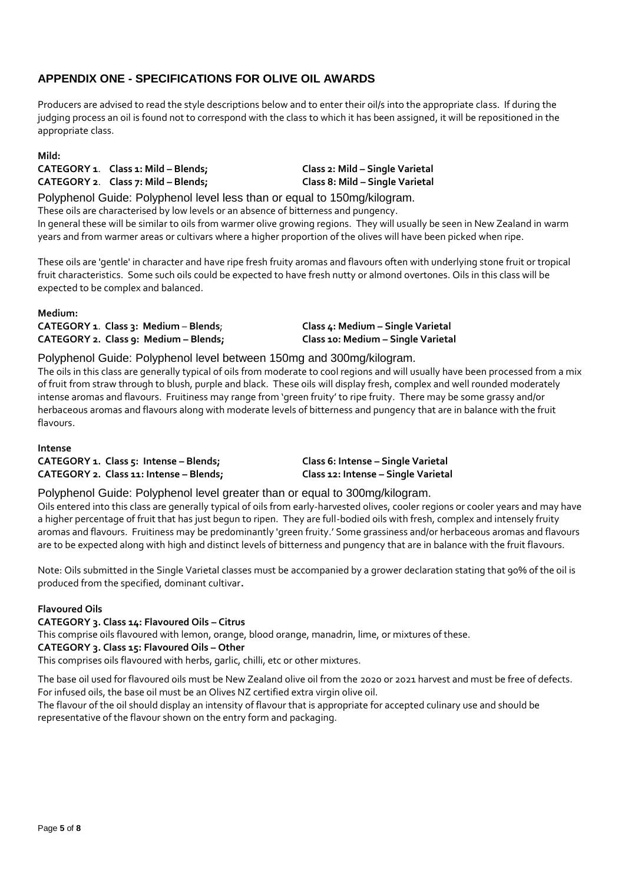# **APPENDIX ONE - SPECIFICATIONS FOR OLIVE OIL AWARDS**

Producers are advised to read the style descriptions below and to enter their oil/s into the appropriate class. If during the judging process an oil is found not to correspond with the class to which it has been assigned, it will be repositioned in the appropriate class.

### **Mild:**

**CATEGORY 1**. **Class 1: Mild – Blends; Class 2: Mild – Single Varietal CATEGORY 2**. **Class 7: Mild – Blends; Class 8: Mild – Single Varietal**

Polyphenol Guide: Polyphenol level less than or equal to 150mg/kilogram.

These oils are characterised by low levels or an absence of bitterness and pungency. In general these will be similar to oils from warmer olive growing regions. They will usually be seen in New Zealand in warm years and from warmer areas or cultivars where a higher proportion of the olives will have been picked when ripe.

These oils are 'gentle' in character and have ripe fresh fruity aromas and flavours often with underlying stone fruit or tropical fruit characteristics. Some such oils could be expected to have fresh nutty or almond overtones. Oils in this class will be expected to be complex and balanced.

### **Medium: CATEGORY 1**. **Class 3: Medium** – **Blends**; **Class 4: Medium – Single Varietal CATEGORY 2. Class 9: Medium – Blends; Class 10: Medium – Single Varietal**

### Polyphenol Guide: Polyphenol level between 150mg and 300mg/kilogram.

The oils in this class are generally typical of oils from moderate to cool regions and will usually have been processed from a mix of fruit from straw through to blush, purple and black. These oils will display fresh, complex and well rounded moderately intense aromas and flavours. Fruitiness may range from 'green fruity' to ripe fruity. There may be some grassy and/or herbaceous aromas and flavours along with moderate levels of bitterness and pungency that are in balance with the fruit flavours.

### **Intense**

**CATEGORY 1. Class 5: Intense – Blends; Class 6: Intense – Single Varietal CATEGORY 2. Class 11: Intense – Blends; Class 12: Intense – Single Varietal**

### Polyphenol Guide: Polyphenol level greater than or equal to 300mg/kilogram.

Oils entered into this class are generally typical of oils from early-harvested olives, cooler regions or cooler years and may have a higher percentage of fruit that has just begun to ripen. They are full-bodied oils with fresh, complex and intensely fruity aromas and flavours. Fruitiness may be predominantly 'green fruity.' Some grassiness and/or herbaceous aromas and flavours are to be expected along with high and distinct levels of bitterness and pungency that are in balance with the fruit flavours.

Note: Oils submitted in the Single Varietal classes must be accompanied by a grower declaration stating that 90% of the oil is produced from the specified, dominant cultivar**.**

### **Flavoured Oils**

### **CATEGORY 3. Class 14: Flavoured Oils – Citrus**

This comprise oils flavoured with lemon, orange, blood orange, manadrin, lime, or mixtures of these.

### **CATEGORY 3. Class 15: Flavoured Oils – Other**

This comprises oils flavoured with herbs, garlic, chilli, etc or other mixtures.

The base oil used for flavoured oils must be New Zealand olive oil from the 2020 or 2021 harvest and must be free of defects. For infused oils, the base oil must be an Olives NZ certified extra virgin olive oil.

The flavour of the oil should display an intensity of flavour that is appropriate for accepted culinary use and should be representative of the flavour shown on the entry form and packaging.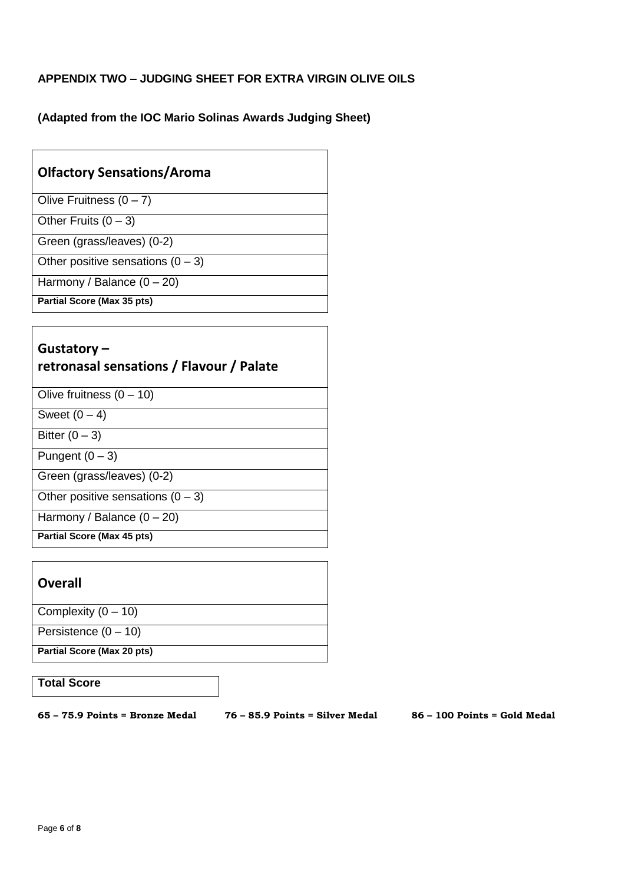# **APPENDIX TWO – JUDGING SHEET FOR EXTRA VIRGIN OLIVE OILS**

**(Adapted from the IOC Mario Solinas Awards Judging Sheet)** 

# **Olfactory Sensations/Aroma**

Olive Fruitness  $(0 - 7)$ 

Other Fruits  $(0 - 3)$ 

Green (grass/leaves) (0-2)

Other positive sensations  $(0 - 3)$ 

Harmony / Balance  $(0 - 20)$ 

**Partial Score (Max 35 pts)**

# **Gustatory – retronasal sensations / Flavour / Palate**

Olive fruitness  $(0 - 10)$ 

Sweet  $(0 - 4)$ 

Bitter  $(0-3)$ 

Pungent  $(0 - 3)$ 

Green (grass/leaves) (0-2)

Other positive sensations  $(0 - 3)$ 

Harmony / Balance  $(0 - 20)$ 

**Partial Score (Max 45 pts)**

# **Overall**

Complexity  $(0 - 10)$ 

Persistence  $(0 - 10)$ 

**Partial Score (Max 20 pts)**

## **Total Score**

**65 – 75.9 Points = Bronze Medal 76 – 85.9 Points = Silver Medal 86 – 100 Points = Gold Medal**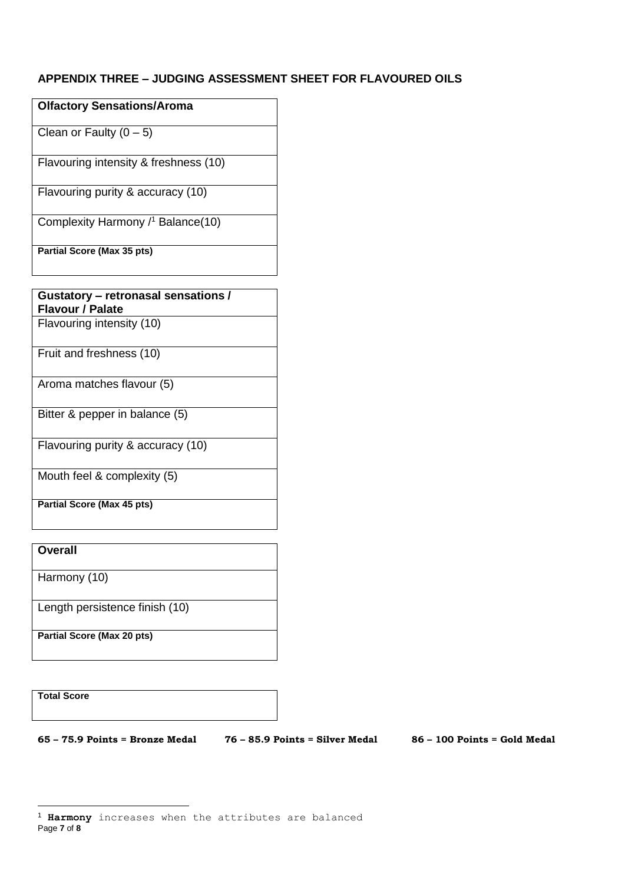# **APPENDIX THREE – JUDGING ASSESSMENT SHEET FOR FLAVOURED OILS**

| <b>Olfactory Sensations/Aroma</b>     |
|---------------------------------------|
| Clean or Faulty $(0 - 5)$             |
| Flavouring intensity & freshness (10) |
| Flavouring purity & accuracy (10)     |
| Complexity Harmony / Balance(10)      |
| Partial Score (Max 35 pts)            |

| Gustatory - retronasal sensations / |  |
|-------------------------------------|--|
| <b>Flavour / Palate</b>             |  |
| Flavouring intensity (10)           |  |

Fruit and freshness (10)

Aroma matches flavour (5)

Bitter & pepper in balance (5)

Flavouring purity & accuracy (10)

Mouth feel & complexity (5)

**Partial Score (Max 45 pts)**

**Overall** 

Harmony (10)

Length persistence finish (10)

**Partial Score (Max 20 pts)**

**Total Score** 

-

**65 – 75.9 Points = Bronze Medal 76 – 85.9 Points = Silver Medal 86 – 100 Points = Gold Medal** 

Page **7** of **8** <sup>1</sup> **Harmony** increases when the attributes are balanced